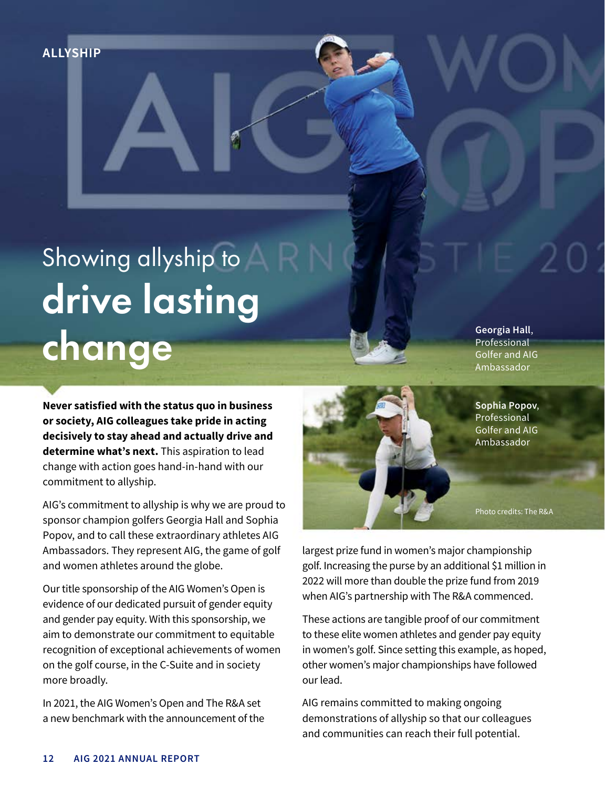**ALLYSHIP**

# Showing allyship to drive lasting change

**Never satisfied with the status quo in business or society, AIG colleagues take pride in acting decisively to stay ahead and actually drive and determine what's next.** This aspiration to lead change with action goes hand-in-hand with our commitment to allyship.

AIG's commitment to allyship is why we are proud to sponsor champion golfers Georgia Hall and Sophia Popov, and to call these extraordinary athletes AIG Ambassadors. They represent AIG, the game of golf and women athletes around the globe.

Our title sponsorship of the AIG Women's Open is evidence of our dedicated pursuit of gender equity and gender pay equity. With this sponsorship, we aim to demonstrate our commitment to equitable recognition of exceptional achievements of women on the golf course, in the C-Suite and in society more broadly.

In 2021, the AIG Women's Open and The R&A set a new benchmark with the announcement of the **Georgia Hall**, Professional Golfer and AIG Ambassador



Photo credits: The R&A

largest prize fund in women's major championship golf. Increasing the purse by an additional \$1 million in 2022 will more than double the prize fund from 2019 when AIG's partnership with The R&A commenced.

These actions are tangible proof of our commitment to these elite women athletes and gender pay equity in women's golf. Since setting this example, as hoped, other women's major championships have followed our lead.

AIG remains committed to making ongoing demonstrations of allyship so that our colleagues and communities can reach their full potential.